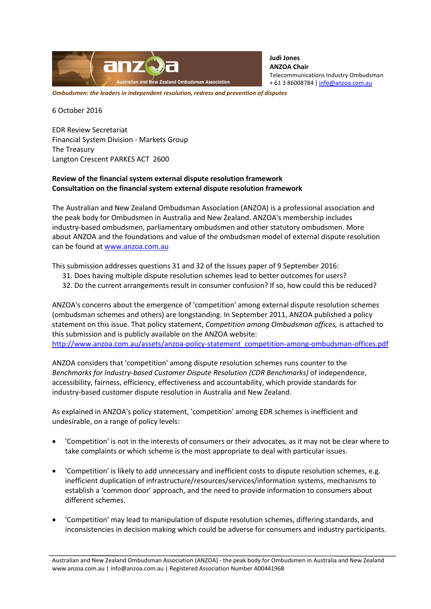

**Judi Jones ANZOA Chair** Telecommunications Industry Ombudsman + 61 3 86008784 | [info@anzoa.com.au](mailto:info@anzoa.com.au)

*Ombudsmen: the leaders in independent resolution, redress and prevention of disputes*

6 October 2016

EDR Review Secretariat Financial System Division - Markets Group The Treasury Langton Crescent PARKES ACT 2600

## **Review of the financial system external dispute resolution framework Consultation on the financial system external dispute resolution framework**

The Australian and New Zealand Ombudsman Association (ANZOA) is a professional association and the peak body for Ombudsmen in Australia and New Zealand. ANZOA's membership includes industry-based ombudsmen, parliamentary ombudsmen and other statutory ombudsmen. More about ANZOA and the foundations and value of the ombudsman model of external dispute resolution can be found at [www.anzoa.com.au](http://www.anzoa.com.au/)

This submission addresses questions 31 and 32 of the Issues paper of 9 September 2016:

- 31. Does having multiple dispute resolution schemes lead to better outcomes for users?
- 32. Do the current arrangements result in consumer confusion? If so, how could this be reduced?

ANZOA's concerns about the emergence of 'competition' among external dispute resolution schemes (ombudsman schemes and others) are longstanding. In September 2011, ANZOA published a policy statement on this issue. That policy statement, *Competition among Ombudsman offices,* is attached to this submission and is publicly available on the ANZOA website: [http://www.anzoa.com.au/assets/anzoa-policy-statement\\_competition-among-ombudsman-offices.pdf](http://www.anzoa.com.au/assets/anzoa-policy-statement_competition-among-ombudsman-offices.pdf)

ANZOA considers that 'competition' among dispute resolution schemes runs counter to the *Benchmarks for Industry-based Customer Dispute Resolution (CDR Benchmarks)* of independence, accessibility, fairness, efficiency, effectiveness and accountability, which provide standards for industry-based customer dispute resolution in Australia and New Zealand.

As explained in ANZOA's policy statement, 'competition' among EDR schemes is inefficient and undesirable, on a range of policy levels:

- 'Competition' is not in the interests of consumers or their advocates, as it may not be clear where to take complaints or which scheme is the most appropriate to deal with particular issues.
- 'Competition' is likely to add unnecessary and inefficient costs to dispute resolution schemes, e.g. inefficient duplication of infrastructure/resources/services/information systems, mechanisms to establish a 'common door' approach, and the need to provide information to consumers about different schemes.
- 'Competition' may lead to manipulation of dispute resolution schemes, differing standards, and inconsistencies in decision making which could be adverse for consumers and industry participants.

Australian and New Zealand Ombudsman Association (ANZOA) - the peak body for Ombudsmen in Australia and New Zealand www.anzoa.com.au | info@anzoa.com.au | Registered Association Number A0044196B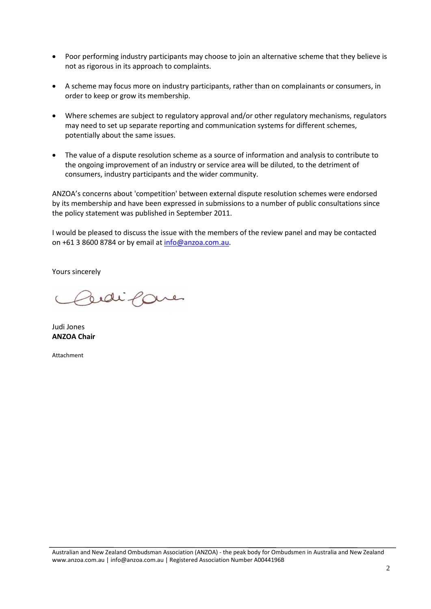- Poor performing industry participants may choose to join an alternative scheme that they believe is not as rigorous in its approach to complaints.
- A scheme may focus more on industry participants, rather than on complainants or consumers, in order to keep or grow its membership.
- Where schemes are subject to regulatory approval and/or other regulatory mechanisms, regulators may need to set up separate reporting and communication systems for different schemes, potentially about the same issues.
- The value of a dispute resolution scheme as a source of information and analysis to contribute to the ongoing improvement of an industry or service area will be diluted, to the detriment of consumers, industry participants and the wider community.

ANZOA's concerns about 'competition' between external dispute resolution schemes were endorsed by its membership and have been expressed in submissions to a number of public consultations since the policy statement was published in September 2011.

I would be pleased to discuss the issue with the members of the review panel and may be contacted on +61 3 8600 8784 or by email a[t info@anzoa.com.au.](mailto:info@anzoa.com.au)

Yours sincerely

sidi pare

Judi Jones **ANZOA Chair**

Attachment